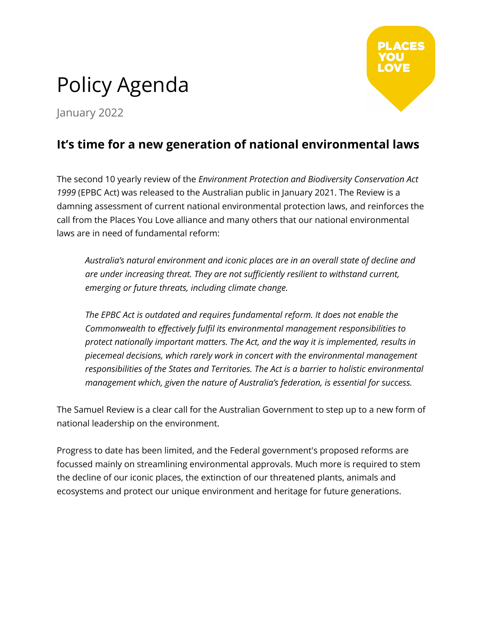# Policy Agenda

January 2022

## **It's time for a new generation of national environmental laws**

The second 10 yearly review of the *Environment Protection and Biodiversity Conservation Act 1999* (EPBC Act) was released to the Australian public in January 2021. The Review is a damning assessment of current national environmental protection laws, and reinforces the call from the Places You Love alliance and many others that our national environmental laws are in need of fundamental reform:

*Australia's natural environment and iconic places are in an overall state of decline and are under increasing threat. They are not sufficiently resilient to withstand current, emerging or future threats, including climate change.*

*The EPBC Act is outdated and requires fundamental reform. It does not enable the Commonwealth to effectively fulfil its environmental management responsibilities to protect nationally important matters. The Act, and the way it is implemented, results in piecemeal decisions, which rarely work in concert with the environmental management responsibilities of the States and Territories. The Act is a barrier to holistic environmental management which, given the nature of Australia's federation, is essential for success.*

The Samuel Review is a clear call for the Australian Government to step up to a new form of national leadership on the environment.

Progress to date has been limited, and the Federal government's proposed reforms are focussed mainly on streamlining environmental approvals. Much more is required to stem the decline of our iconic places, the extinction of our threatened plants, animals and ecosystems and protect our unique environment and heritage for future generations.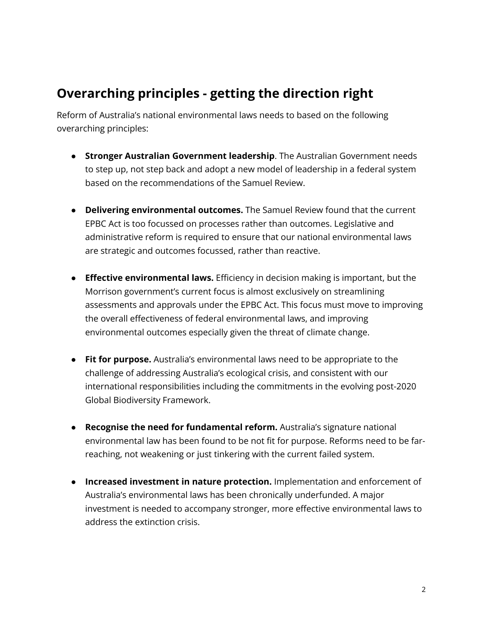# **Overarching principles - getting the direction right**

Reform of Australia's national environmental laws needs to based on the following overarching principles:

- **Stronger Australian Government leadership**. The Australian Government needs to step up, not step back and adopt a new model of leadership in a federal system based on the recommendations of the Samuel Review.
- **Delivering environmental outcomes.** The Samuel Review found that the current EPBC Act is too focussed on processes rather than outcomes. Legislative and administrative reform is required to ensure that our national environmental laws are strategic and outcomes focussed, rather than reactive.
- **Effective environmental laws.** Efficiency in decision making is important, but the Morrison government's current focus is almost exclusively on streamlining assessments and approvals under the EPBC Act. This focus must move to improving the overall effectiveness of federal environmental laws, and improving environmental outcomes especially given the threat of climate change.
- **Fit for purpose.** Australia's environmental laws need to be appropriate to the challenge of addressing Australia's ecological crisis, and consistent with our international responsibilities including the commitments in the evolving post-2020 Global Biodiversity Framework.
- **Recognise the need for fundamental reform.** Australia's signature national environmental law has been found to be not fit for purpose. Reforms need to be farreaching, not weakening or just tinkering with the current failed system.
- **● Increased investment in nature protection.** Implementation and enforcement of Australia's environmental laws has been chronically underfunded. A major investment is needed to accompany stronger, more effective environmental laws to address the extinction crisis.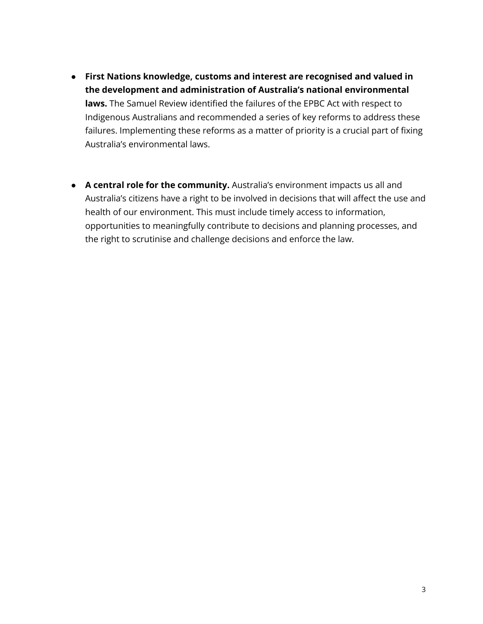- **● First Nations knowledge, customs and interest are recognised and valued in the development and administration of Australia's national environmental laws.** The Samuel Review identified the failures of the EPBC Act with respect to Indigenous Australians and recommended a series of key reforms to address these failures. Implementing these reforms as a matter of priority is a crucial part of fixing Australia's environmental laws.
- **● A central role for the community.** Australia's environment impacts us all and Australia's citizens have a right to be involved in decisions that will affect the use and health of our environment. This must include timely access to information, opportunities to meaningfully contribute to decisions and planning processes, and the right to scrutinise and challenge decisions and enforce the law.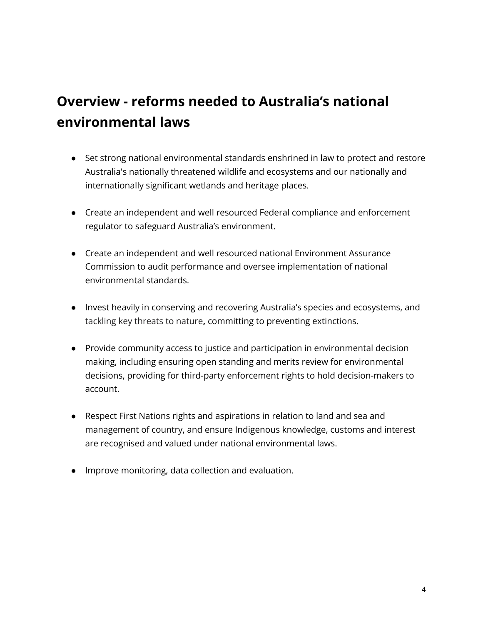# **Overview - reforms needed to Australia's national environmental laws**

- Set strong national environmental standards enshrined in law to protect and restore Australia's nationally threatened wildlife and ecosystems and our nationally and internationally significant wetlands and heritage places.
- Create an independent and well resourced Federal compliance and enforcement regulator to safeguard Australia's environment.
- Create an independent and well resourced national Environment Assurance Commission to audit performance and oversee implementation of national environmental standards.
- Invest heavily in conserving and recovering Australia's species and ecosystems, and tackling key threats to nature**,** committing to preventing extinctions.
- Provide community access to justice and participation in environmental decision making, including ensuring open standing and merits review for environmental decisions, providing for third-party enforcement rights to hold decision-makers to account.
- Respect First Nations rights and aspirations in relation to land and sea and management of country, and ensure Indigenous knowledge, customs and interest are recognised and valued under national environmental laws.
- Improve monitoring, data collection and evaluation.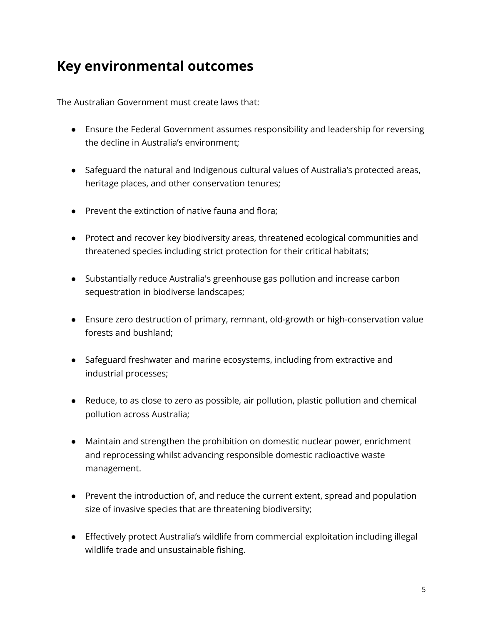## **Key environmental outcomes**

The Australian Government must create laws that:

- Ensure the Federal Government assumes responsibility and leadership for reversing the decline in Australia's environment;
- Safeguard the natural and Indigenous cultural values of Australia's protected areas, heritage places, and other conservation tenures;
- Prevent the extinction of native fauna and flora;
- Protect and recover key biodiversity areas, threatened ecological communities and threatened species including strict protection for their critical habitats;
- Substantially reduce Australia's greenhouse gas pollution and increase carbon sequestration in biodiverse landscapes;
- Ensure zero destruction of primary, remnant, old-growth or high-conservation value forests and bushland;
- Safeguard freshwater and marine ecosystems, including from extractive and industrial processes;
- Reduce, to as close to zero as possible, air pollution, plastic pollution and chemical pollution across Australia;
- Maintain and strengthen the prohibition on domestic nuclear power, enrichment and reprocessing whilst advancing responsible domestic radioactive waste management.
- Prevent the introduction of, and reduce the current extent, spread and population size of invasive species that are threatening biodiversity;
- Effectively protect Australia's wildlife from commercial exploitation including illegal wildlife trade and unsustainable fishing.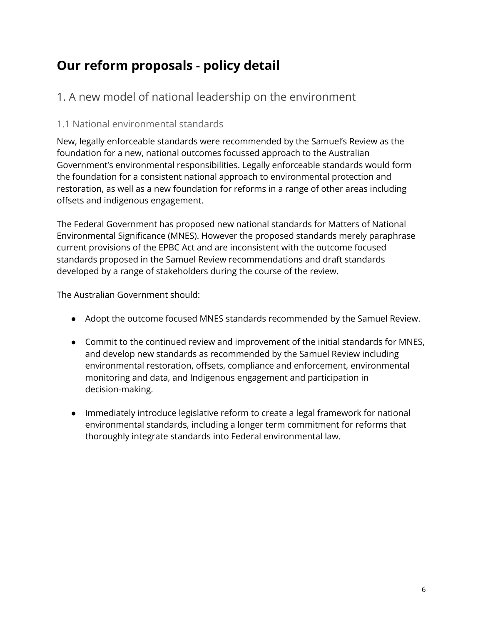# **Our reform proposals - policy detail**

## 1. A new model of national leadership on the environment

#### 1.1 National environmental standards

New, legally enforceable standards were recommended by the Samuel's Review as the foundation for a new, national outcomes focussed approach to the Australian Government's environmental responsibilities. Legally enforceable standards would form the foundation for a consistent national approach to environmental protection and restoration, as well as a new foundation for reforms in a range of other areas including offsets and indigenous engagement.

The Federal Government has proposed new national standards for Matters of National Environmental Significance (MNES). However the proposed standards merely paraphrase current provisions of the EPBC Act and are inconsistent with the outcome focused standards proposed in the Samuel Review recommendations and draft standards developed by a range of stakeholders during the course of the review.

- Adopt the outcome focused MNES standards recommended by the Samuel Review.
- Commit to the continued review and improvement of the initial standards for MNES, and develop new standards as recommended by the Samuel Review including environmental restoration, offsets, compliance and enforcement, environmental monitoring and data, and Indigenous engagement and participation in decision-making.
- Immediately introduce legislative reform to create a legal framework for national environmental standards, including a longer term commitment for reforms that thoroughly integrate standards into Federal environmental law.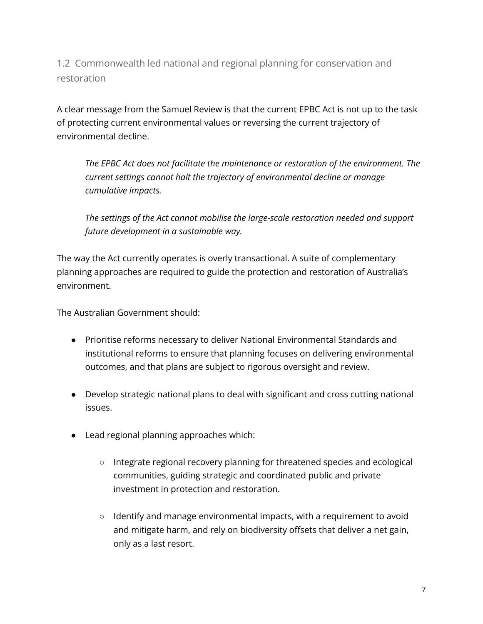1.2 Commonwealth led national and regional planning for conservation and restoration

A clear message from the Samuel Review is that the current EPBC Act is not up to the task of protecting current environmental values or reversing the current trajectory of environmental decline.

*The EPBC Act does not facilitate the maintenance or restoration of the environment. The current settings cannot halt the trajectory of environmental decline or manage cumulative impacts.*

*The settings of the Act cannot mobilise the large-scale restoration needed and support future development in a sustainable way.*

The way the Act currently operates is overly transactional. A suite of complementary planning approaches are required to guide the protection and restoration of Australia's environment.

- Prioritise reforms necessary to deliver National Environmental Standards and institutional reforms to ensure that planning focuses on delivering environmental outcomes, and that plans are subject to rigorous oversight and review.
- Develop strategic national plans to deal with significant and cross cutting national issues.
- Lead regional planning approaches which:
	- Integrate regional recovery planning for threatened species and ecological communities, guiding strategic and coordinated public and private investment in protection and restoration.
	- Identify and manage environmental impacts, with a requirement to avoid and mitigate harm, and rely on biodiversity offsets that deliver a net gain, only as a last resort.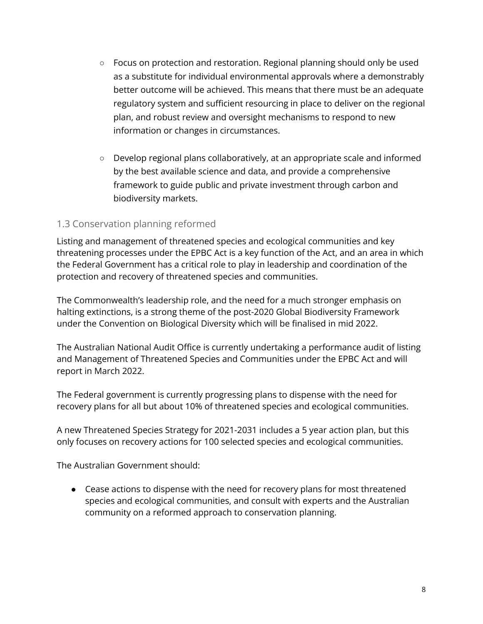- Focus on protection and restoration. Regional planning should only be used as a substitute for individual environmental approvals where a demonstrably better outcome will be achieved. This means that there must be an adequate regulatory system and sufficient resourcing in place to deliver on the regional plan, and robust review and oversight mechanisms to respond to new information or changes in circumstances.
- Develop regional plans collaboratively, at an appropriate scale and informed by the best available science and data, and provide a comprehensive framework to guide public and private investment through carbon and biodiversity markets.

#### 1.3 Conservation planning reformed

Listing and management of threatened species and ecological communities and key threatening processes under the EPBC Act is a key function of the Act, and an area in which the Federal Government has a critical role to play in leadership and coordination of the protection and recovery of threatened species and communities.

The Commonwealth's leadership role, and the need for a much stronger emphasis on halting extinctions, is a strong theme of the post-2020 Global Biodiversity Framework under the Convention on Biological Diversity which will be finalised in mid 2022.

The Australian National Audit Office is currently undertaking a performance audit of listing and Management of Threatened Species and Communities under the EPBC Act and will report in March 2022.

The Federal government is currently progressing plans to dispense with the need for recovery plans for all but about 10% of threatened species and ecological communities.

A new Threatened Species Strategy for 2021-2031 includes a 5 year action plan, but this only focuses on recovery actions for 100 selected species and ecological communities.

The Australian Government should:

● Cease actions to dispense with the need for recovery plans for most threatened species and ecological communities, and consult with experts and the Australian community on a reformed approach to conservation planning.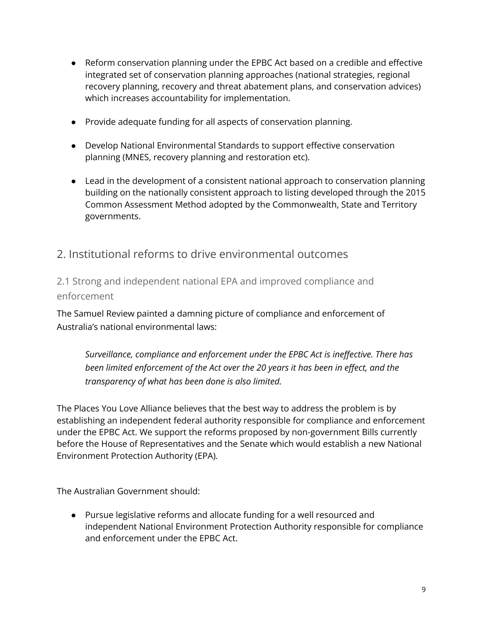- Reform conservation planning under the EPBC Act based on a credible and effective integrated set of conservation planning approaches (national strategies, regional recovery planning, recovery and threat abatement plans, and conservation advices) which increases accountability for implementation.
- Provide adequate funding for all aspects of conservation planning.
- Develop National Environmental Standards to support effective conservation planning (MNES, recovery planning and restoration etc).
- Lead in the development of a consistent national approach to conservation planning building on the nationally consistent approach to listing developed through the 2015 Common Assessment Method adopted by the Commonwealth, State and Territory governments.

### 2. Institutional reforms to drive environmental outcomes

2.1 Strong and independent national EPA and improved compliance and enforcement

The Samuel Review painted a damning picture of compliance and enforcement of Australia's national environmental laws:

*Surveillance, compliance and enforcement under the EPBC Act is ineffective. There has been limited enforcement of the Act over the 20 years it has been in effect, and the transparency of what has been done is also limited.*

The Places You Love Alliance believes that the best way to address the problem is by establishing an independent federal authority responsible for compliance and enforcement under the EPBC Act. We support the reforms proposed by non-government Bills currently before the House of Representatives and the Senate which would establish a new National Environment Protection Authority (EPA).

The Australian Government should:

● Pursue legislative reforms and allocate funding for a well resourced and independent National Environment Protection Authority responsible for compliance and enforcement under the EPBC Act.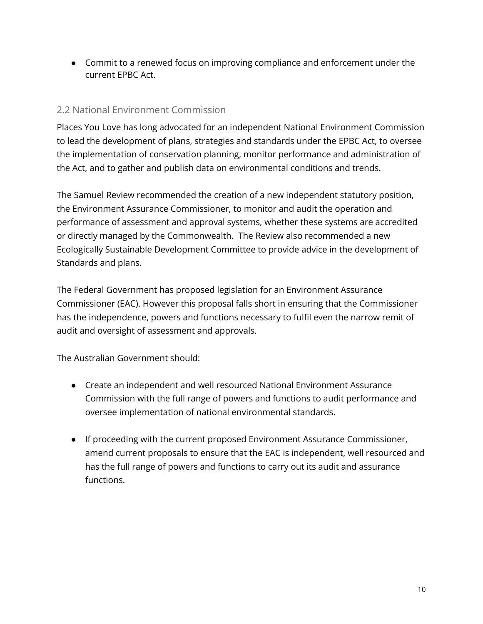● Commit to a renewed focus on improving compliance and enforcement under the current EPBC Act.

#### 2.2 National Environment Commission

Places You Love has long advocated for an independent National Environment Commission to lead the development of plans, strategies and standards under the EPBC Act, to oversee the implementation of conservation planning, monitor performance and administration of the Act, and to gather and publish data on environmental conditions and trends.

The Samuel Review recommended the creation of a new independent statutory position, the Environment Assurance Commissioner, to monitor and audit the operation and performance of assessment and approval systems, whether these systems are accredited or directly managed by the Commonwealth. The Review also recommended a new Ecologically Sustainable Development Committee to provide advice in the development of Standards and plans.

The Federal Government has proposed legislation for an Environment Assurance Commissioner (EAC). However this proposal falls short in ensuring that the Commissioner has the independence, powers and functions necessary to fulfil even the narrow remit of audit and oversight of assessment and approvals.

- Create an independent and well resourced National Environment Assurance Commission with the full range of powers and functions to audit performance and oversee implementation of national environmental standards.
- If proceeding with the current proposed Environment Assurance Commissioner, amend current proposals to ensure that the EAC is independent, well resourced and has the full range of powers and functions to carry out its audit and assurance functions.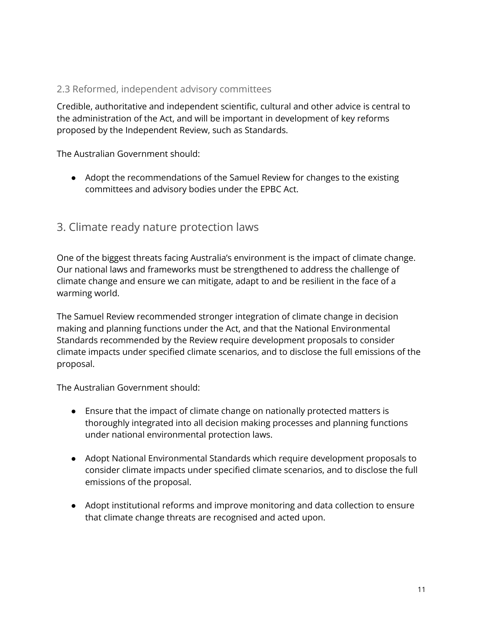#### 2.3 Reformed, independent advisory committees

Credible, authoritative and independent scientific, cultural and other advice is central to the administration of the Act, and will be important in development of key reforms proposed by the Independent Review, such as Standards.

The Australian Government should:

● Adopt the recommendations of the Samuel Review for changes to the existing committees and advisory bodies under the EPBC Act.

#### 3. Climate ready nature protection laws

One of the biggest threats facing Australia's environment is the impact of climate change. Our national laws and frameworks must be strengthened to address the challenge of climate change and ensure we can mitigate, adapt to and be resilient in the face of a warming world.

The Samuel Review recommended stronger integration of climate change in decision making and planning functions under the Act, and that the National Environmental Standards recommended by the Review require development proposals to consider climate impacts under specified climate scenarios, and to disclose the full emissions of the proposal.

- Ensure that the impact of climate change on nationally protected matters is thoroughly integrated into all decision making processes and planning functions under national environmental protection laws.
- Adopt National Environmental Standards which require development proposals to consider climate impacts under specified climate scenarios, and to disclose the full emissions of the proposal.
- Adopt institutional reforms and improve monitoring and data collection to ensure that climate change threats are recognised and acted upon.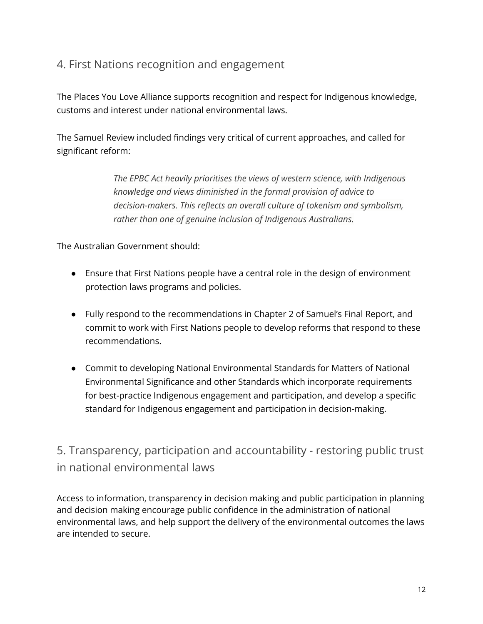## 4. First Nations recognition and engagement

The Places You Love Alliance supports recognition and respect for Indigenous knowledge, customs and interest under national environmental laws.

The Samuel Review included findings very critical of current approaches, and called for significant reform:

> *The EPBC Act heavily prioritises the views of western science, with Indigenous knowledge and views diminished in the formal provision of advice to decision-makers. This reflects an overall culture of tokenism and symbolism, rather than one of genuine inclusion of Indigenous Australians.*

The Australian Government should:

- Ensure that First Nations people have a central role in the design of environment protection laws programs and policies.
- Fully respond to the recommendations in Chapter 2 of Samuel's Final Report, and commit to work with First Nations people to develop reforms that respond to these recommendations.
- Commit to developing National Environmental Standards for Matters of National Environmental Significance and other Standards which incorporate requirements for best-practice Indigenous engagement and participation, and develop a specific standard for Indigenous engagement and participation in decision-making.

5. Transparency, participation and accountability - restoring public trust in national environmental laws

Access to information, transparency in decision making and public participation in planning and decision making encourage public confidence in the administration of national environmental laws, and help support the delivery of the environmental outcomes the laws are intended to secure.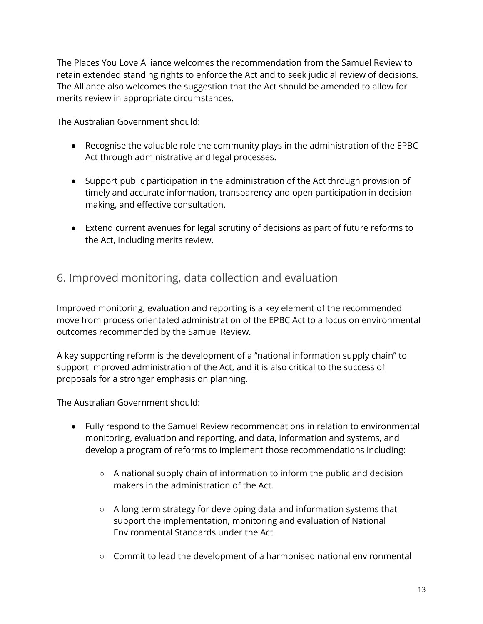The Places You Love Alliance welcomes the recommendation from the Samuel Review to retain extended standing rights to enforce the Act and to seek judicial review of decisions. The Alliance also welcomes the suggestion that the Act should be amended to allow for merits review in appropriate circumstances.

The Australian Government should:

- Recognise the valuable role the community plays in the administration of the EPBC Act through administrative and legal processes.
- Support public participation in the administration of the Act through provision of timely and accurate information, transparency and open participation in decision making, and effective consultation.
- Extend current avenues for legal scrutiny of decisions as part of future reforms to the Act, including merits review.

## 6. Improved monitoring, data collection and evaluation

Improved monitoring, evaluation and reporting is a key element of the recommended move from process orientated administration of the EPBC Act to a focus on environmental outcomes recommended by the Samuel Review.

A key supporting reform is the development of a "national information supply chain" to support improved administration of the Act, and it is also critical to the success of proposals for a stronger emphasis on planning.

- Fully respond to the Samuel Review recommendations in relation to environmental monitoring, evaluation and reporting, and data, information and systems, and develop a program of reforms to implement those recommendations including:
	- $\circ$  A national supply chain of information to inform the public and decision makers in the administration of the Act.
	- A long term strategy for developing data and information systems that support the implementation, monitoring and evaluation of National Environmental Standards under the Act.
	- Commit to lead the development of a harmonised national environmental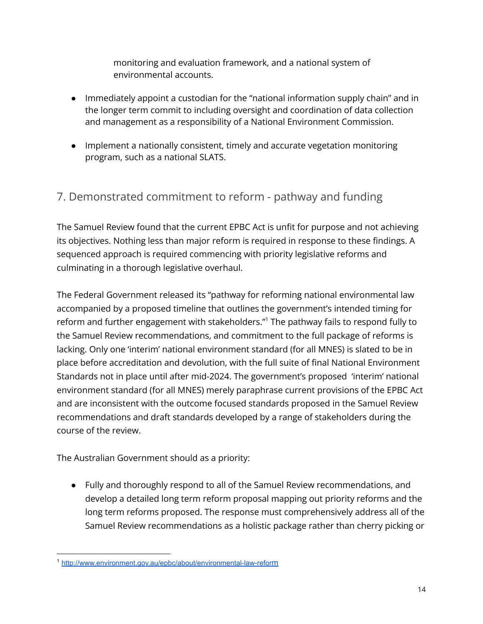monitoring and evaluation framework, and a national system of environmental accounts.

- Immediately appoint a custodian for the "national information supply chain" and in the longer term commit to including oversight and coordination of data collection and management as a responsibility of a National Environment Commission.
- Implement a nationally consistent, timely and accurate vegetation monitoring program, such as a national SLATS.

## 7. Demonstrated commitment to reform - pathway and funding

The Samuel Review found that the current EPBC Act is unfit for purpose and not achieving its objectives. Nothing less than major reform is required in response to these findings. A sequenced approach is required commencing with priority legislative reforms and culminating in a thorough legislative overhaul.

The Federal Government released its "pathway for reforming national environmental law accompanied by a proposed timeline that outlines the government's intended timing for reform and further engagement with stakeholders." <sup>1</sup> The pathway fails to respond fully to the Samuel Review recommendations, and commitment to the full package of reforms is lacking. Only one 'interim' national environment standard (for all MNES) is slated to be in place before accreditation and devolution, with the full suite of final National Environment Standards not in place until after mid-2024. The government's proposed 'interim' national environment standard (for all MNES) merely paraphrase current provisions of the EPBC Act and are inconsistent with the outcome focused standards proposed in the Samuel Review recommendations and draft standards developed by a range of stakeholders during the course of the review.

The Australian Government should as a priority:

● Fully and thoroughly respond to all of the Samuel Review recommendations, and develop a detailed long term reform proposal mapping out priority reforms and the long term reforms proposed. The response must comprehensively address all of the Samuel Review recommendations as a holistic package rather than cherry picking or

<sup>1</sup> [http://www.environment.gov.au/epbc/about/environmental-law-refor](http://www.environment.gov.au/epbc/about/environmental-law-reform)m